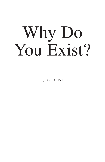# Why Do You Exist?

*by* David C. Pack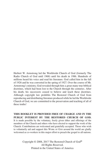Herbert W. Armstrong led the Worldwide Church of God (formerly The Radio Church of God until 1968) until his death in 1986. Hundreds of millions heard his voice and read his literature. God called him in the fall of 1926 and he was converted in the spring of 1927. Over the course of Mr. Armstrong's ministry, God revealed through him a great many true biblical doctrines, which had been lost to the Church through the centuries. After his death, his successors ceased to believe and teach these doctrines. Although copyright law prohibits The Restored Church of God from reproducing and distributing literature produced while he led the Worldwide Church of God, we are committed to the preservation and teaching of all of these truths!

**THIS BOOKLET IS PROVIDED FREE OF CHARGE AND IN THE PUBLIC INTEREST BY THE RESTORED CHURCH OF GOD.** It is made possible by the voluntary, freely given tithes and offerings of the members of the Church and others who have elected to support the work of the Church. Contributions are welcomed and gratefully accepted. Those who wish to voluntarily aid and support this WORK OF GOD around the world are gladly welcomed as co-workers in this major effort to preach the gospel to all nations.

> Copyright © 2008, 2017 The Restored Church of God® All Rights Reserved. Printed in the United States of America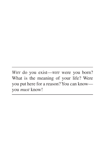*Why* do you exist—*why* were you born? What is the meaning of your life? Were you put here for a reason? You can know you *must* know!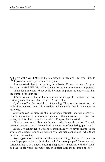WHY WERE YOU BORN? Is there a reason—a meaning—for your life? Is<br>wy your existence part of a divine plan?

Was mankind placed on Earth by an all-wise Creator as part of a great Purpose—a MASTER PLAN? Knowing the answer is supremely important!

Think for a moment. What could be more important to understand than the purpose for your life?

*Atheists* refuse to know. Those who do not accept the existence of God certainly cannot accept that He has a Master Plan.

*Cynics* scoff at the possibility of knowing. They see the confusion and wide disagreement over this question and conclude that it can never be answered.

*Scientists* cannot discover this knowledge through laboratory analysis. Honest astronomers, microbiologists and others acknowledge that God exists, but this alone does not reveal His Purpose for mankind.

*Philosophers* cannot discern it through meditation or discussion. Divinely revealed answers cannot be obtained by centuries of pondering questions.

*Educators* cannot teach what they themselves were never taught. Those who merely teach from books written by other men cannot teach what those books do not contain.

*Astrologers* dazzle with tricks that reveal nothing of value. Do any reasonable people seriously think that such "business people" (those who *sell* fortunetelling as true understanding), supposedly in contact with the "dead" and the "spirit world" (actually demon spirits), hold the meaning of life?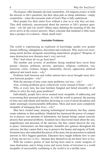6 Why Do You Exist?

*Theologians* offer humanly-devised counterfeits. All religions *profess* to hold the answers to life's questions, but their ideas pale as cheap substitutes—empty counterfeits—when the awesome truth of God's Plan is fully understood.

Most people live their entire lives without a clue as to why they are here. They drift aimlessly, unconcerned about the answers to life's greatest questions—*why life* and *why death*? Others enjoy debating the meaning of life, but never arrive at the correct answers. Many conclude that mankind is little more than a product of evolution—blind, dumb luck!

#### **Insoluble Problems**

The world is experiencing an explosion of knowledge amidst ever greater human suffering, unhappiness, discontent and confusion. Why such ever-worsening moral decline alongside astonishing materialistic progress? Weapons of mass destruction now threaten man's very survival.

*Why?* And where do we go from here?

The number and severity of problems facing mankind have never been greater—disease, pollution, poverty, ignorance, religious confusion, war, terrorism, crime, violence, hunger, immorality, slavery, oppression, political upheaval and much more—*why?*

Problems both between and within nations have never brought more division between peoples—*why?*

With the passing of time come more problems, not less—*why?*

Also, existing problems grow collectively worse instead of better—*why?*

Why, at every turn, has man botched, bungled and failed miserably in all efforts to solve his truly great problems?

Individually, people have never seemed more incapable of addressing and overcoming their personal problems. As with the world in general, the passing of time sees individuals and families drowning in a sea of moral decadence and under seemingly insurmountable difficulties. More and more seem completely incapable of managing their lives—*why?*

Men have created many amazing technological inventions, but they cannot create solutions to their problems. Mankind has harnessed the power of computers to process vast amounts of information, but human beings cannot correctly process their personal problems. Scientists have discovered much about the size, magnificence and precision of the universe, but they cannot discover the way to peace. Astronomers can find majestic, beautiful new galaxies throughout the universe, but they cannot find a way to preserve the beauty and majesty of Earth. Scientists have also unleashed the power of the atom, but are powerless to unleash answers to life's biggest questions. Educators have taught millions how to earn a living, but not *how to live*—because they themselves do not know how to live.

With the creative genius of man having been used to create weapons of mass destruction, and to bring worse and worse forms of terrorism to a world incapable of successfully combating it, the world is in a terrible mess.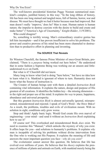The well-known presidential historian Peggy Noonan summarized mankind's complex, jumbled history in this way: "In the long ribbon of history, life has been one long stained and tangled mess, full of famine, horror, war and disease. We must have thought we had it better because man had improved. But man doesn't really 'improve,' does he? Man is man. Human nature is human nature; the impulse to destroy coexists with the desire to build and create and make better" ("America's Age of Uncertainty," *Knight-Ridder*, 11/9/2001).

Who could disagree?

So, something is terribly wrong. Man's extraordinary creative genius has left him incomplete—and it has proven insufficient to solve his problems. The power and creative prowess of his mind has been more channeled to destruction than to productive effort in planning and inventing.

#### **The SOURCE That Reveals**

Sir Winston Churchill, the famous Prime Minister of once-Great Britain, proclaimed, "There is a *purpose* being worked out here below." He understood that in some fashion a Supreme Being was working out an unseen and littleunderstood plan on Earth.

But what is it? Churchill did not know.

Many long to know what God is doing "here below," but have no idea how to learn what it is. Mankind is ignorant of where to turn. Humanity does not know what the Source of instruction is.

The Creator of human beings sent with them a detailed *Instruction Book* containing vital information. It explains the nature, design and purpose of His greatest of all creations. It identifies the hidden key—the missing dimension to the right and proper use of the mind. It explains *the way* to peace, happiness, abundance and universal prosperity.

But this greatest *Instruction Book* is almost universally ignored, misrepresented, misunderstood and rejected. I speak of God's Word—the HOLY BIBLE! As a result, the problems, troubles and evils of civilization mount. With no solution in sight, conditions only grow worse.

Stop and think! Apply basic logic. Would God create His own marvel of engineering—your mind—and send it without an *Instruction Book* explaining how to use it?

Of course not! This overlooked and misunderstood Book *does* exist. We need to examine this "Manual," which unlocks the mystery of why you exist. It offers hope for you—and solutions to humanity's problems. It explains *why* man is incapable of solving his problems without divine intervention from the One who is working out His Purpose. It explains the meaning of life and answers the most important question you face—*why do you exist?*

The evolutionist cannot answer this question. He believes that life has evolved over millions of years. He believes that his *theory* explains the presence of millions of plants and animals on Earth, with mankind merely being the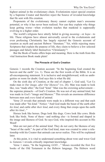highest animal in the evolutionary chain. Evolutionists reject special creation by a Supreme Creator and therefore reject the Source of revealed knowledge that He sent with His creation.

Proponents of the evolutionary theory cannot explain man's awesome potential, or why it has never been realized. Nor can they explain why things keep getting worse—when evolution teaches that mankind is supposedly evolving to a higher order.

The world's religions have utterly failed in giving *meaning*—or *hope*—to life. These religions have almost universally caved to the evolutionists and even professing Christianity has largely rejected the Genesis account of creation as myth and ancient Hebrew "literature." Yet, while rejecting many Scriptures that explain the purpose of life, they claim to believe a few selected passages and falsely label themselves "Christianity"!

But the Book of books offers hope and meaning. Here is the truth from this vital Instruction Book made plain!

#### **The Pinnacle of God's Creation**

Genesis 1 records the Creation account: "In the beginning God created the heaven and the earth" (vs. 1). These are the first words of the Bible. It is an all-encompassing statement. It is inclusive and straightforward, with no ambiguities or room for doubt. God says this is what He did.

On the sixth day of Creation, at the end of chapter 1, God said, "Let Us make man *in Our image, after Our likeness*" (vs. 26). Man was made to look like, was "made after," the God "kind." Man was the crowning achievement the supreme pinnacle—of God's Creation. He was not of any animal kind, but was made in *God's* "image and likeness." This reveals an enormous difference between men and *every* kind of animal.

Verse 25 reveals that animals were made in a different way and that each was made after "his kind." Notice: "And God made the beast of the earth after *his kind*, and cattle after *their kind*, and every thing that creeps upon the earth after *his kind*..."

Horses look like horses. Dogs look like dogs. Cows look like cows. Birds look like birds. None of these—and nothing else—is formed and shaped in the image and likeness of God. So says God, who inspired this account in His Word!

Men are not part of the animal kind. They do not carry the likeness of any "beast of the earth." As part of the God kind, man was created to enter a relationship with his Creator that animals can never realize. This will be explained later.

At this point, it is vital to understand something about who and what God is. Genesis 1 reveals critically important knowledge.

Verse 1 states, "In the beginning *GOD*…" Moses recorded the first five books of the Old Testament in the Hebrew language. The Hebrew word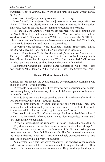translated "God" is *Elohim*. This word is uniplural, like *team, group, family*  or *church*.

God is one *Family*—presently composed of two Beings.

Verse 26 said, "Let us [more than one] make man in our image, after our likeness." There was clearly more than one Person involved in the creation. This verse records the God Family doing the speaking and creating.

The apostle John amplifies what Moses recorded: "In the beginning was the Word" (John 1:1), and then continued, "the Word was *with* God, and the Word *was* God." If there is One who WAS God, but who was also WITH God, it is obvious that two Beings—two Persons—are being described. This is why Christ could *be* God and *with* God at the same time.

The Greek word rendered "Word" is *Logos*. It means "Spokesman." This is the One who became Christ and is the One speaking in Genesis 2.

John 1:14 continues, "...the Word was made *flesh*, and *dwelt among us*." The only God-Being who ever became flesh in order to dwell among men is Jesus Christ. Remember, it says that the Word "was made flesh." Christ was not flesh until He came to earth to become the Savior of mankind.

Beginning in Genesis 2:4 is another name translated as "God," *YHVH*. It is best rendered "the Eternal" or "the Ever-living One"—the Spokesman/Word.

#### **Human Mind vs. Animal Instinct**

Animals possess instinct. No evolutionist has ever successfully explained why this is or how it is even possible.

Why would bees return to their hive day after day, generation after generation, making honey in the same way they did 1,000 years ago, unless they were *designed* to do this?

Why do baby cows and horses stand up almost immediately after birth? It was *programmed* into them—through instinct.

Why do birds know to fly south, and at just the right time? Then, how do many know to return each year to the exact same tree in Central or South America—and then fly back north, right on schedule? Instinct!

How would *all* bears "know" to eat enough food to survive hibernation all winter—and how would *all* bears even know to hibernate, unless this was *built into* their instinctive behavior?

Why do all wolves hunt the same way—in packs—and eat the same things? Why does almost every bird have its own distinct nest-building design?

There was once a test conducted with weaver birds. Five successive generations were deprived of nest-building materials. The fifth generation was given the materials but had never seen a nest. It immediately proceeded to make nests that looked exactly like all weaver bird nests.

As marvelous as is this instinctive capability, it is dwarfed by the capacity and power of human intellect. Humans are able to acquire knowledge. They can reach the moon and create super-computers. They can design buildings the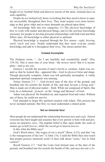height of six football fields and discover secrets of the atom. Animals have no such capability.

People do *not* instinctively know everything that they need to know to operate successfully throughout their lives. They must acquire ever more knowledge as they grow older and as more demands are placed upon them.

All knowledge falls into two categories: (1) The *physical* knowledge of how to work with matter and physical things, and (2) the *spiritual* knowledge necessary for people to develop personal relationships with both God and their fellow man. All knowledge is either physical or spiritual.

Physical knowledge is acquired through the five senses—*sight*, *hearing*, *smell*, *touch and taste*. People understand that they must ACQUIRE certain knowledge and add to it throughout their lives. The senses permit this.

#### **Created Incomplete**

The Psalmist wrote, "…for I am fearfully and wonderfully made" (Psa. 139:14). This is most true of your brain—the human mind! But it is incomplete—and so are you.

Genesis 1 records the account of man's physical creation. Adam was created so that he looked like—appeared like—God in *physical* form and shape. Though physically complete, Adam was left spiritually incomplete. A vitally important spiritual component was missing.

Notice Genesis 2:7: "…God *formed* man of the *dust* of the ground, and breathed into his nostrils the breath of life; and man *became* a living soul." Man is made out of physical matter—flesh. While not composed of Spirit, like God, he is fashioned—*formed*—in the "image and likeness" of God.

Adam was physical. He breathed air, and required food and water. Without any of these, he could not survive.

God intended to begin His spiritual creation with Adam. This process has never included animals. But first, we must understand a related point.

#### **Not an Immortal Soul**

Most people do not understand the relationship between *men* and *souls*. Almost everyone has been taught and assumes that every person is born with and possesses an immortal soul. The popular belief is that, upon death, the souls of sinners go to hell *forever*, while the saved go to heaven *forever*.

Is this what the Bible says?

God's Word states, "the wages of sin is *death*" (Rom. 6:23), and that "sin is the transgression of the law" (I John 3:4). Could the Bible then also teach that people possess immortal souls? It does talk about "souls," but in what context?

Recall Genesis 2:7: "And the LORD God formed man of the dust of the ground, and breathed into his nostrils the breath of life; and *man became a liv-*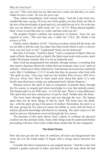*ing soul*." This verse does not say that men *have* souls, but that they *are* souls. Adam *became* a soul—he was not *given* one.

Then, almost immediately, God warned Adam, "And the Lorp God commanded the man, saying, Of every tree of the garden you may freely eat: But of the tree of the knowledge of good and evil, you shall not eat of it: for in the day that you eat thereof *you* shall surely *die*" (vs. 16-17). When placed together, these verses reveal that men *are* souls, and that souls can *die*!

The prophet Ezekiel confirms the instruction in Genesis. Twice he was inspired to write, "The soul that sins, it shall  $DE$ " (18:4, 20). Death is the *absence* of life.

Finally, notice Matthew 10:28: "And fear not them which kill the body, but are not able to kill the soul: but rather fear Him [God] which is *able to destroy both soul and body in hell*." Understand! Souls can be destroyed!

But John 4:24 states, "God IS a Spirit." God is composed of Spirit. Men are made of flesh. Because God is a Spirit, His Spirit must work with *another* spirit within His human creation. But it is not an immortal soul.

Since God has programmed into animals, through instinct, everything that they need to function effectively within their environment, there is no "spirit of animals," which gives them mind power. And humans do not possess immortal souls. But I Corinthians 2:11-12 reveals that they do possess what God calls "the spirit in man." (You may read our free booklet *What Science Will Never Discover About Your Mind* to learn much more about this spirit. It is only briefly described here to help you understand God's Master Purpose.)

Humans receive the spirit in man at conception. It permits them, through the five senses, to acquire and retain knowledge in a way that animals cannot. The human spirit is not THE man—it is IN the man. There is a big difference! This spirit does not have mind power of and by itself. Neither does the brain.

The *brain* hears through the ears and sees through the eyes. The human spirit does not do these things of and by itself. The brain does the thinking—with the spirit giving it the power of intellect. Remember, the spirit is *in* the man, giving the five *physical* senses the ability to work with the brain to analyze physical knowledge and discern its meaning. The spirit *empowers* the mind to process information received through the five senses.

The presence of this spirit allows God, a Spirit, to continue the physical creation into the spiritual realm. Some other things must be understood before proceeding with how God works within those minds that He has conquered.

#### **The Great Choice**

How did man get into the state of confusion, division and disagreement that exists all over the Earth today? It began with a wrong choice between two trees.

Consider this direct instruction to our original parents: "And the LORD God planted a garden eastward in Eden; and there He put the man whom He had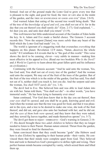formed. And out of the ground made the LORD God to grow every tree that is pleasant to the sight, and good for food; the TREE OF LIFE also in the midst of the garden, and the tree of knowledge of good and evil" (Gen. 2:8-9).

God warned Adam that eating of the second tree would bring death: "But of the tree of the *knowledge of good and evil*, you shall *not* eat of it: for in the day that you eat thereof you shall surely *die*" (Gen. 2:17). God explained, "... for dust you are, and unto dust shall you return" (3:19).

This well-known but little-understood account of the Garden of Eden holds the key. In it, Adam and Eve made a fateful choice. The Genesis 3 account records this: "Now the serpent [Satan] was more *subtle* than any beast of the field which the LORD God had made" (vs. 1).

The world is ignorant of a staggering truth that overarches *everything* that happens on this planet. Revelation 12:9 states, "Satan...deceives the whole world." II Corinthians 4:4 reveals that he is "the god of this world." This verse shows the devil to be cunning, clever—very subtle in manner—making him most effective in his appeal to Eve. (Read our two booklets *Who Is the Devil?*  and *A World in Captivity* to learn about this great fallen spirit and his influence on civilization.)

Continuing with the Genesis account: "And he said unto the woman, Yes, has God said, You shall not eat of every tree of the garden? And the woman said unto the serpent, We may eat of the fruit of the trees of the garden: But of the fruit of the tree which is in the midst of the garden, God has said, You shall not eat of it, neither shall you touch it, lest you die. And the serpent said unto the woman, *You shall NOT surely die*" (vs. 1-4).

The devil lied to Eve. She believed him and was able to lead Adam into sin with her. Satan told them, "You shall *not* die"—in other words, "you have immortal souls." He has been lying to humanity ever since!

Satan continued, "For God does know that in the day you eat thereof, then *your eyes shall be opened*, and you shall be as gods, knowing good and evil. And when the woman saw that the tree was good for food, and that it was pleasant to the eyes, and a tree to be desired to make one wise, she took of the fruit thereof, and did eat, and gave also unto her husband with her; and he did eat. *And the eyes of them both were opened*, and they knew that they were naked; and they sewed fig leaves together, and made themselves aprons" (vs. 5-7).

The devil got them to reject—DISBELIEVE—God's warning in Genesis 2:16-17. His deceit brought these two *adult children* to believe that they no longer needed to listen to their Parent. Human nature entered. Thrust from the garden, they were forced to fend for themselves.

Satan convinced them that they could become "gods" (the Hebrew used here is also *Elohim*) by appealing to their human pride—their vanity. He convinced them that their minds were complete apart from God. They believed him and took to themselves God's prerogative to define right and wrong. Their perfect human minds became corrupted by vanity, which seized them and lifted them up.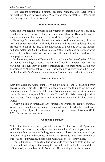This account represents a fateful decision. Mankind was faced with a far-reaching choice between God's Way, which leads to ETERNAL LIFE, or the devil's way, which leads to DEATH!

#### **Putting God to the Test**

Adam and Eve became confused about whether to listen to Satan or God. They could not be sure God was telling the truth unless they put Him to the test. In a sense, Adam and Eve conducted the world's first *experiment*.

Rejecting God's revealed instruction, Adam used human reason, observation and experimentation. With only his mind and the devil guiding him, he proceeded to eat of the "tree of the knowledge of good and evil." He thought he knew better than God. He took *to himself* the right to decide between what was right (good) and what was wrong (evil). He thought that he could trust his own physical senses.

In this sense, Adam and Eve's decision did "open their eyes" (Gen. 3:7) but not to the things of God. The spirit of rebellion entered them for the first time. The evil spirit of Satan's influence entered their minds as the first appearance of "human nature." *This* is how their eyes were "opened." (Read our booklet *Did God Create Human Nature?* to understand what this meant.)

#### **Adam and Eve Cut Off**

With this decision, Adam completely cut off himself and all mankind from access to God. This OTHER tree has been guiding the thinking of men and nations ever since Adam's fateful choice. We must understand what this means for us. Because he rejected God and the Tree of Life, Adam was rejected *by* God and cast from the garden. Mankind was cast out with him into Satan's world!

Adam's decision precluded any further opportunity to acquire *spiritual* knowledge. Thus, his understanding remained limited to what he could learn through the five physical senses—and left him open to Satan's broadcast (Eph. 2:2). Human nature was born!

#### **Choosing a Mixture**

Notice that the wrong tree represented *knowledge* that was both "good and evil." The tree was not entirely evil—it contained a *mixture* of good and evil knowledge! It is the same with the governments, philosophies, educational systems, and religions and churches of this world. Some do have small amounts of true ("good") knowledge, mixed with much false ("evil") knowledge.

For 6,000 years, God has told His servants to avoid mixing truth with error. He warned that eating of the wrong tree would result in death. Adam did not believe God, and died—cut off from God. The warning for us is the same!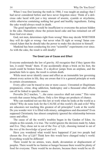When I was first learning the truth in 1966, I was taught an analogy that I had never considered before and have never forgotten since: Think of a delicious cake laced with just a tiny amount of arsenic, cyanide or strychnine, while otherwise containing nothing but good and healthy ingredients. Eating the cake would always result in death.

The good ingredients would be insufficient to overcome the poison hidden in the cake. Humanity chose the poison-laced cake and has remained cut off from God ever since.

God, not men, determines right from wrong! Men may decide WHETHER they will do right or wrong—but never what IS right or wrong! Satan convinced Adam that he should take the power to make this decision to himself.

Mankind has been conducting his own "scientific" experiments ever since. As with the cake, the result is still deadly!

#### **The Great Law of Cause and Effect**

Everyone understands the law of gravity. All recognize that if they ignore this law, it could "break" them. If one accidentally drops a brick on his foot, the result could be broken bones. If a skydiver jumps from an airplane, and the parachute fails to open, the result is certain death.

While most never identify cause and effect as an immutable law governing almost every action in life, they are aware that it is a general principle at work in certain circumstances.

Every *effect* can be traced to one or more *causes*. Unwanted or illegitimate pregnancies, crime, drug addiction, bankruptcy and a thousand other effects can all be linked to specific causes.

Proverbs 26:2 teaches, "…the curse *causeless* shall not come." This verse reveals that causes bring effects. Only a few things are products of chance.

Why can mankind not see this law at work when he looks at the world as a whole? Why do none look for the CAUSE of this world's ills and evils? Why are educators not teaching this greatest of all principles? Look at the world. Do you wonder *why* it is filled with misery, unhappiness and discontent? Even supposed Christianity has almost completely ignored the relationship between cause and effect.

The cause of all the world's troubles began in the Garden of Eden. As simple as this sounds, it is true. The world ignores the decision made by Adam and Eve. They chose not to eat of the *Tree of Life*, choosing instead to eat of the *tree of the knowledge of good and evil*.

Have you wondered what would have happened if just two people had chosen the *Tree of Life*? Think how this would have changed today's world. Everything would be different!

There would be no armies, wars, death, devastation or displacement of peoples. There would be no famine or hunger because there would be plenty of food for everyone. There would be no doctors, because there would be no ill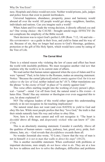ness. Hospitals and clinics would not exist. Neither would prisons, jails, judges and police forces that exist to punish lawbreakers.

Universal happiness, abundance, prosperity, peace and harmony would abound all over the world. All people would get along—neighbors, families, individuals and nations. Can you imagine such a world?

When Adam and Eve made the wrong decision, it directly affected *you* and *me*! One wrong choice—the CAUSE—brought untold tragic EFFECTS! Do not complicate the simplicity of the Bible record.

Their decision was to reject God's perfect LAW (Rom. 7:12, 14) and rule— His GOVERNMENT—as a guide in their lives, and yield to Satan and his way of sin. Because of sin, they no longer had access to God's blessings, guidance, protection or the gift of His Holy Spirit, which would have come by eating of the Tree of Life.

#### **The Carnal Mind**

There is a related reason why violating the law of cause and effect has beset the world with insoluble problems. We must recognize another vital key that explains why the world is in its current state of affairs.

We read earlier that human nature appeared when the eyes of Adam and Eve were "opened." Paul, in his letter to the Romans, makes an amazing statement. Notice: "Because the carnal [physical] mind is *enmity against God*: for it is *not subject to the law of God*, neither indeed can be" (8:7). Other translations use the phrase "is the *enemy* of God" in place of "is enmity against God."

This verse offers startling insight into the working of every person's physical—"carnal"—mind. Cut off from God, the natural mind is His enemy—it hates Him. Think! Has any minister or theologian ever even suggested this to you, let alone explained it?

NO! The religious leaders of this world either ignore this understanding entirely or do not recognize its far-reaching implications!

The natural mind does not want (and even HATES) to yield to God and obey His law. While most people profess that they "love God," the truth is that their minds naturally hate His way and refuse to obey Him.

Now, here is why most cannot and will not recognize it: "The heart is *deceitful* above all things, and *desperately wicked*: who can know it?" (Jer. 17:9).

This is an absolutely stunning statement. Consider it carefully. Above all the qualities of human nature—vanity, jealousy, lust, greed, envy, pride, foolishness, hate, etc.—God reveals that *deceitfulness* exceeds them all.

No wonder Jeremiah also wrote, "O LORD, I know that the way of man is not in himself: *it is not in man that walks to direct his steps*" (10:23).

This is another incredible statement. When confronted with problems or important decisions, men simply *do not know what to do*. They are at a loss for *how* to address and *how* to solve the challenges, difficulties and problems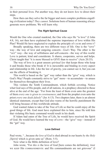in their personal lives. Put another way, they do not know *how* to direct their steps.

How then can they solve the far bigger and more complex problems engulfing civilization today? *They cannot*. Solutions born of human reasoning always generate *more* problems. We will learn why.

#### **The** *Right* **Spiritual Cause**

Would the One who created mankind, the One who says He "is love" (I John 4:8, 16), not then have explained the supreme importance of love within His Plan? Would He have neglected to explain the principle of CAUSE and EFFECT?

Broadly speaking, there are two different ways of life. One is the "GIVE" way—the way of love and outgoing concern—*God's* Way. The other is the "GET" way—the way of selfishness and self-concern—the way of this world. Love is patient, kind and considerate. It shares, cooperates, serves and helps. Christ taught that "it is more blessed to GIVE than to receive" (Acts 20:35).

The way of love is a great unseen *spiritual law* that keeps those who keep it and breaks those who break it! It is inexorable and binding in every aspect and relationship in life. Like the law of gravity, you cannot see it, but you can see the effects of breaking it.

This world is based on the "get" way rather than the "give" way, which is God's Way! People constantly strive to "get" more—to accumulate—to amass for themselves throughout their lives.

This violates the Tenth Commandment, which forbids coveting. Notice what God says of His people, and of all nations, in a prophecy directed to those alive at the end of the age: "For from the least of them even unto the greatest of them *every one is given to covetousness*; and from the prophet even unto the priest *every one deals falsely*" (Jer. 6:13). Two chapters later, there is an almost identical statement, except that God also warns of the horrific punishment He will bring because of this worldwide attitude.

God wanted Adam to take of the Tree of Life so that he could enjoy all the good things of life. God must have explained this to him, since He told him that violating His basic command would result in his death.

If Adam had eaten of the Tree of Life, he would have received the Spirit of God. He would have learned the way of love—the "give" way—instead of the "get" way.

#### **Love Defined**

Paul wrote, "...because *the love of God* is shed abroad in our hearts *by the Holy [Spirit]* which is given unto us" (Rom. 5:5).

Now what is the Bible definition of love?

John wrote, "For *this is* the love of God [here comes the definition], that we keep His commandments: and His commandments are not grievous" (I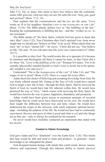John 5:3). Yet, so many who claim to have love believe that the commandments ARE grievous. God says they are not. He calls His Law "holy, just, good and *spiritual*" (Rom. 7:12, 14).

Paul explains that the *commandments* and the *law* are the same: "Love works no ill to his neighbor: therefore LOVE IS THE FULFILLING OF THE LAW" (Rom. 13:10). The Bible plainly defines love as "the fulfilling of the law." Keeping the commandments is fulfilling the law—and this "works no ILL TO his neighbor."

The Bible speaks of "the Holy Spirit, [which] God has given to them that obey Him" (Acts 5:32). True Christians obey God's spiritual Law. Jesus never taught that we should just "believe on Him" to be saved. When asked what one must "do" to have "eternal life"—be SAVED—Christ did not say, "Just believe on Me." He said, "If you will enter into life, KEEP THE COMMANDMENTS" (Matt. 19:17).

It *is* possible to obey God. The world resists this or is ignorant of it because its ministers and theologians tell them it cannot be done, or that Christ did it *for* them. Yet, "Love is the *fulfilling of the law.*" Romans 8:6 states, "For to be carnally [physically] minded [hostile to God's Law] is *death*; but to be spiritually minded is LIFE and PEACE."

Understand! "Sin is the *transgression* of the law" (I John 3:4), and "The wages of sin is *death*" (Rom. 6:23). There is a cause for every effect.

Adam faced the choice of believing and accepting *knowledge* from God. He was freely offered eternal life. Eating of the Tree of Life would have caused God to beget a new life in him—through the Holy Spirit. Had he received the Spirit of God, he would have had life inherent within him. He would have practiced the way of "love," which comes with receiving the Holy Spirit. He would have known the way to peace, happiness, abundance and prosperity.

Adam would have been given access to enormous amounts of revealed knowledge that he could never have discovered on his own. He would have been taught the difference between true and false values. He would have understood the origin of the universe, with much important spiritual knowledge—including the purpose of his life. He would not have had to continually *experiment*, *theorize* and *guess* at what is *good* and what is *evil* and why things are as they are—only to always be confused by his research.

He never would have foolishly conducted an experiment that ended with his DEATH!

#### **Created to Obtain Knowledge**

God gave Adam and Eve "dominion" over the Earth (Gen. 1:26). This meant that man would be able and need to learn and produce—to generate—much knowledge as he subjugated the planet.

God designed human beings with minds that could create, devise, reason, observe and experiment. Through this inherent ability to reason, *physical*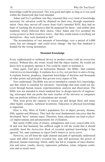knowledge could be processed. This was good and right, as long as it was used within the framework that God intended.

Adam and Eve's problem was they reasoned that *every* kind of knowledge necessary for salvation could be obtained on their own, through experimentation. Once they moved off course from God's intended WAY, they had no hope of reaching the *destination* that He purposed for them—and neither does mankind, which followed their choice. Once Adam and Eve accepted the *wrong premise* as their starting point—that they could reason everything out themselves—they were destined to fail!

The accumulation of vast amounts of knowledge, over a period of 6,000 years, has not changed—and could never change—the fact that mankind is headed for the wrong destination.

#### **Revealed Knowledge**

Every sophisticated or technical device or product comes with an *instruction manual*. Without this, the owner would find the object useless. He would not know how to properly operate it. Nor could he repair or maintain it.

Once again, God gave an Instruction Manual—the Bible—that contains vital revealed knowledge. It explains *how to live*, not just how to earn a living. It explains history, prophecy, important knowledge of doctrine and thousands of other points and principles that govern every aspect of life.

Now understand. The Bible was never intended to contain ALL knowledge, just that which is essential for salvation—knowledge that man could not discover through human reason, experimentation, analysis and observation. The Bible was not intended to teach mankind how to design marvels of engineering, telescopes that can probe the outer reaches of the universe or computers that can perform trillions of calculations per second.

Men were given the capacity to reason out and design these and many other highly complex, technical inventions. Education in physical knowledge is important.

Here is why. Most of Earth's population live in abject poverty, disease, filth, squalor and illiteracy. They lack the most fundamental *education* that the developed "have" nations enjoy. Therefore, basic education can lead to *physical* improvements and advancements for civilization.

But surely 6,000 years of misery, unhappiness and every conceivable evil, ill and woe that humanity has suffered ought to tell the world that it should carefully heed the *Instruction Book* of revealed spiritual knowledge it has ignored. Yet, man continues to reject God's SPIRITUAL REVELATION.

However, cut off from the right channel and path of spiritually understood cause and effect and God's revealed law, man still possesses the power of physical, human reasoning, which, sadly, has led to weapons of mass destruction and terror, cruelty, slavery, repression, pollution, crime, religious confusion and so much more.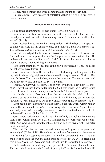Hence, man's misery and woes compound and mount at every turn.

But remember, God's process of spiritual creation is still in progress. It is *not complete*!

#### **Product of God's Workmanship**

Let's continue examining the bigger picture of God's purpose.

You are not the first to be concerned with God's overall Plan—or wonder why you exist. Job asked this same question: "If a man die, shall he live again?" (14:14).

God inspired him to answer his own question: "All the days of my appointed time will I wait, till my change come. You shall call, and I will answer You: *You will have a desire to the work of Your hands*" (vs. 14-15).

Job acknowledged that he was the "work of God's hands." He knew God "desired" a certain purpose that involved a process at work within him. He understood that one day God would "call" him from the grave, and that he would "answer," thus fulfilling his purpose.

This is important knowledge that could only be revealed by God. Job could not otherwise have known it.

God is at work in those He has called. He is fashioning, molding, and building within them holy, righteous character—His very character. Notice: "But now, O Lord, You are our Father; we are the CLAY, and You our potter; and we all are the work of your HAND" (Isa. 64:8).

Tragically, many will not allow God to work with them. They fight His purpose. They think they know better than the God who made them. Many refuse to be told what to do and be clay in God's hands. This was Adam's problem.

Isaiah also wrote, "Woe unto him that strives with his Maker! Let the potsherd strive with the potsherds of the earth. Shall the clay say to *Him that fashions* it, What make You? Or Your work, He [God] has no hands?" (45:9).

Most people have absolutely no idea that God actively works within human beings He has called—or *what* He is doing when He does. Again, this is spiritually *revealed* knowledge, unattainable to all whom God has *not* called to understand His truth (John 6:44, 65; 17:17).

God is now actively working in the minds of only those *few* who have His Holy Spirit within them (Acts 2:38). Humans are not born with God's character. And God cannot instantly infuse them with it by divine fiat. Character must be developed.

The real Christian increases in understanding and "grow[s] in grace, and knowledge" (II Pet. 3:18). He endures a lifetime of overcoming, because he is in training for a supreme purpose. Those called understand that "…he that shall ENDURE unto the *end*, the same shall be SAVED" (Matt. 24:13). (Read our free article "You Can Overcome and Prevent Sin" to understand this process.)

Bible study and earnest prayer are part of the Christian's daily schedule. The one called has found the "pearl of great price" and is determined to build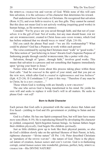the spiritual character and nature of God. While none of this will earn him salvation, it is the *substance* of his character that determines his reward.

Paul understood how God works in Christians. He recognized that salvation (Rom. 6:23), and even faith to receive it, are free gifts. They cannot be earned. But this does not mean God is not actively working (requiring good works) in human beings, as He REPRODUCES HIMSELF.

Consider: "For by *grace* are you saved through faith; and that not of yourselves: it is the *gift* of God: Not of works, lest any man should boast. *for we are his workmanship*, created in Christ Jesus *unto* good works, which God has before ordained that we should walk IN THEM" (Eph. 2:8-10).

Did you catch the phrase Paul used—"we are *His* workmanship"? What could be plainer? God has a Purpose at work within each person!

The verse continued by saying that Christians must "walk" in "good works." The false notion of "just believing in Jesus" thwarts God's Supreme Purpose of fashioning people through careful workmanship, like a potter with clay.

Salvation, though of "grace…through faith," involves good works. This means that salvation is a process and not something that happens immediately upon "giving your heart to Jesus."

Notice what else Paul wrote about this process taking place within those God calls: "And be *renewed* in the spirit of your mind; and that you put on the new man, which after God is *created in righteousness and true holiness*" (Eph. 4:23-24). II Corinthians 5:17 puts it this way: "Therefore if any man be in Christ, he is a *new creature*…"

Those whom God is working with are literally a *new creation!*

The one who serves God is being transformed in his mind. He yields his own will and seeks to replace it with God's will in all matters. He seeks to please God—not *self*!

#### **Born to Build Character**

Each person that God calls is presented with the same choice that Adam and Eve faced—yielding to God and *His* government or yielding to Satan and *his* nature.

God is a Father. He has one Spirit-composed Son, but will later have many *more* sons (Rom. 8:19). He is reproducing Himself by developing His character in yielded, conquered, Spirit-begotten human beings. As human fathers beget their children *physically*, God begets His children *spiritually*.

Just as little children grow up to look like their physical parents, so also do God's children slowly take on the spiritual likeness of their Parent, in holy, righteous character—"divine nature" (II Pet. 1:4). Peter described Christians as "partakers of the DIVINE NATURE"—the nature of God. There is the physical nature of creation, *human nature* and GOD's NATURE. God is re-fashioning corrupt, carnal *human nature* into wonderful, glorious, perfect, holy, SPIRITUAL character—His DIVINE NATURE!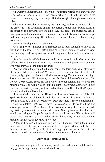Character is understanding—knowing—right from wrong *and doing what is right instead of what is wrong!* God reveals what is right, but it is through the power of free moral agency, deciding to DO what is right, that righteous character is built.

Character is consciously *choosing* the right way, against resistance. It is not the easy way. It is swimming against the current, rather than drifting lazily in the direction it is flowing. It is building love, joy, peace, longsuffering, gentleness, goodness, faith, meekness, temperance (self-control), wisdom, knowledge, understanding and humility. This takes time, because character is built through *experience*.

Animals develop none of these traits.

God has perfect character in all respects. He *is* love. Remember, love is the fulfilling of the law (Rom. 13:10; I John 5:3), which requires yielding to God. It is outgoing, outflowing concern for others, putting them first—ahead of selfinterests.

Satan's nature is selfish, incoming and concerned only with what is best for self and how to get more for self. This is the attitude he injected into Adam and Eve when they ate of the forbidden fruit.

Are you seeing that, while God made man in the form and shape, physically, of Himself, it does not end there? You were created to become like God—to build perfect, holy, righteous character. God is *reproducing Himself* in human beings. Just as you are the child of parents, and possibly have children of your own, *God is your Parent*. Again, as you physically look like your parents, and your children resemble you, God wants you to look like Him—in *spiritual character*! In this life, God begins to spiritually re-form and re-shape those He calls. His Purpose is to build within them His nature.

So then, God is reproducing Himself in those who have received His Holy Spirit. He is creating children that will look and *BE* just like Him! *To build the very character of God is the reason you exist!* But there is more to understand.

God has allotted 7,000 years—seven *millennial days*—to work out the first several phases of His Plan "here below." We are nearing the end of the sixth day (6,000 years) allotted to man under Satan. God's government will soon be established, bringing His perfect spiritual law to all nations of Earth. Satan will be removed (Lev. 16:10, 21-22) and no longer able to sway this world to evil and rebellion against God's revealed knowledge.

A few will reject God, refusing to obey Him. They will trust in their human minds and reject the missing dimension of God's Spirit, which would have led them to eternal life. They will reject building righteousness in their life and choose to remain *incomplete*—*unfinished* in purpose and character.

#### **But Whose Righteousness?**

It is supremely important—absolutely vital!—to understand that Christians only grow through being connected to Christ.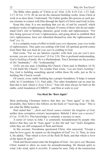The Bible often speaks of "Christ in us" (Gal. 2:20; 4:19; Col. 1:27; Eph. 3:17; II Cor. 13:5). *We* do not do the character-building works. Jesus Christ at work in us does them. Understand. The Father guides this process as each person remains in contact with Him through the Spirit of Christ (and God) in him.

Keep this clear. It is not anything that *you* do, of and by yourself, which produces works of righteousness. Romans 10 warns of those who do not understand God's role in building character, good works and righteousness: "For they being *ignorant* of *god's* righteousness, and going about to establish their *own* righteousness, have not submitted themselves unto the righteousness of God" (vs. 3).

It is a complete waste of effort to build your *own* character, your *own* works of righteousness. They gain you nothing with God. All spiritual growth comes from Him! But you must do *your part* in yielding to God.

Paul wrote, "For we are laborers *together* with God: you are GOD's HUSbandry, you are god's building" (I Cor. 3:9). This is profound understanding. God is *building* a Family. He is a Husbandman. True Christians are the *product* of *His* "husbandry"—*His* "workmanship."

*GOD*, not any man, is building His Church. Christ said, in Matthew 16:18, "*I* will build My Church." No wonder Paul wrote, "*you* are God's *building*." Yes, God is building something special within those He calls, just as He is building His Church overall.

Of course, every stable building has a proper foundation. It helps it remain solid. In I Corinthians 3:11, Paul adds, "For other foundation can no man lay than that is laid, which *is Jesus Christ*." Your life must always be built on the stable, solid foundation of CHRIST—and Him at work in you!

#### **You Must Be "Born Again"**

Most professing Christians believe that they are "born again" in *this* life. Invariably, they believe this follows on the heels of "receiving Jesus." This is not what the Bible teaches.

Paul stated that "...*flesh and blood cannot INHERIT the kingdom of God*; neither does corruption *inherit* incorruption. Behold, I show you a *mystery*" (I Cor. 15:50-51). This knowledge *is* certainly a mystery to most.

A series of verses in John 3 is commonly misunderstood by people who believe that they can be "born again" in this life and "see" God's Kingdom, while they are still composed of flesh and blood.

In this account, Nicodemus questioned Christ, who answered, "Except a man be *born again*, he cannot *see* the kingdom of God" (vs. 3). Then, in verse 6, He added, "That which is *born* of the flesh IS flesh; and that which is *born* of the Spirit IS spirit."

Flesh and blood cannot enter the Kingdom of God—*but spirit can!* Because Christ wanted to allow no room for misunderstanding, He likened spirit to wind. Like wind, spirit is *invisible*. It cannot be seen. Only at the resurrection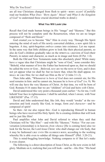are all true Christians changed from flesh to spirit-BORN AGAIN! (Carefully read our booklets *What Does "Born Again" Mean?* and *What Is the Kingdom of God?* to understand these crucial doctrinal truths in detail.)

#### **What You Will Look Like**

Recall that God made human beings in His "image" and "likeness." But this process will not be complete until the Resurrection, when we are no longer composed of "flesh and blood."

God created *you* to become "like" Him in every way. Through His Spirit entering the mind of each of His newly converted children, a new spirit life is begotten. A tiny, spirit-begotten *embryo* comes into existence. Let me repeat: In the same way that little children grow to look like their physical parents, so also do God's children gradually take on the spiritual likeness of God (their Parent), in nature and character, as much as in image and form (II Pet. 1:4).

Both the Old and New Testaments make this absolutely plain! While many have a vague idea that Christians might be "sons of God," none consider this: "Behold, what manner of love the Father has bestowed upon us, that we should be called the sons of God...Beloved, *now* are we the sons of God, and it does not yet appear what we shall be: but we know that, when He shall appear, we shall be like Him; for we shall see Him as He is" (I John 3:1-2).

Then John adds, "Whosoever is *born of God* does not commit sin; for His seed remains in him: and he cannot sin, because he is *born of God*" (vs. 9). We will one day have the very likeness of Christ. At that time, we will be born of God. Romans 8:16 states that we are "children" of God and heirs *with* Christ.

David understood this very point a thousand years earlier: "As for me, I will behold Your face in righteousness: I shall be satisfied, when I awake*,* with Your LIKENESS" (Psa. 17:15).

David and John understood that, like Job, they would "awake" at the resurrection and look exactly like God, in image, form *and character*—and be composed of spirit!

So then—let me also repeat this—God is reproducing Himself in human beings who have received His Holy Spirit. He is creating children that will look and *be* just like Him!

Paul amplifies what John and David referred to when they said that Christians will be "like Him"—and with His "likeness." Notice: "For our conversation [citizenship] is in heaven; *from whence* [He is coming here] also we look for the Savior, the Lord Jesus Christ: who shall change our vile body, that it may be fashioned like unto His glorious body, according to the working whereby He is able even to subdue all things unto Himself" (Phil. 3:20-21).

This is mind-boggling knowledge. Nothing compares to it! But let's make it even clearer.

The following is a direct description of Jesus Christ, as He now exists in full glory. Meditate on it, realizing that you will look—and be—*like Him*: "His head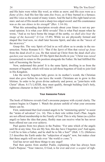and His hairs were white like wool, as white as snow; and His eyes were as a *flame of fire*; And His feet like unto *fine brass*, as if they burned in a furnace; and His voice as the sound of many waters. And He had in His right hand seven stars: and out of His mouth went a sharp two edged sword: and His countenance was *as the sun shines in his strength*" (Rev. 1:14-16).

What this astounding description reveals about your future is not my personal opinion. It is what *your Bible* reveals! This is what Paul meant when he wrote, "And as we have borne the image of the earthy, *we shall also bear the image of the heavenly*" (I Cor. 15:49). While we are physically formed and shaped like God now, we shall later become Spirit, and take on the "image of the heavenly."

Grasp this. The very Spirit of God in us will allow us to awake in the resurrection. Notice Romans 8:11: "But if the *Spirit* of Him that *raised up Jesus* from the dead *dwell in you*, He that raised up Christ from the dead *shall also quicken your mortal bodies BY* His Spirit that dwells in you." Christ was *raised* (resurrected) to return to His position alongside the Father. He had fulfilled His task of becoming the Savior.

Now, understand this point! It is the same Spirit, dwelling in us from the moment of begettal, which will raise us (all those begotten of God) to join God in His Kingdom.

Like the newly begotten baby grows in its mother's womb, the Christian must also *grow* before he can leave the womb. Christians are to grow in this lifetime. In order to be given divine authority and power, as "joint-heirs with Christ" (Rom. 8:17) LATER, they must qualify, through building God's holy, righteous character in their lives NOW!

#### **Your Awesome Future**

The book of Hebrews reveals God's awesome purpose with crystal clarity. The context begins in Chapter 1. Watch the picture unfold of what your awesome future can be.

First, understand that God created angels to be "ministering spirits" to assist the "heirs of salvation" (vs. 14). This is their role within God's Plan. Angels are not offered membership in the Family of God. This is why Satan (as a *fallen* angel) so hates the idea that puny, fleshly man can receive what he has never been offered nor can ever achieve.

Paul quotes from two places in the Psalms: "For unto which of the angels said He at any time, You are My Son, this day have I begotten you? And again, I will be to him a Father, and he shall be to Me a Son?" (Heb. 1:5). (Hebrews 2:5 describes the Earth under the "subjection of angels" now, but makes clear that these angels will not rule over "the world *to come*.")

God has never said these things to any angel!

Paul then quotes from another Psalm, explaining what has always been God's Purpose: "Your throne, O God, is for ever and ever: a *scepter* of righ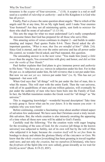teousness is the *scepter* of Your KINGDOM..." (1:8). A scepter is a rod or staff used as a symbol of *rulership* or *authority*—and in His Kingdom it is God who has all *power*.

Finally, Paul *re-frames* the same question about angels: "But to which of the angels said He at any time, Sit on My right hand, until I make Your enemies Your footstool? Are they not all ministering spirits, sent forth to *minister* for them who shall be heirs of salvation?" (1:13-14).

This sets the stage for what we must understand! Let's really comprehend the awesome future that God has prepared for all those who serve Him.

This amazing series of verses continues in chapter 2—and builds in understanding and impact. Paul quotes Psalm 8:4-6. There David asked the allimportant question, *"What is man, that You are mindful of him?"* (Heb. 2:6)*.*  Since God is eternal, and sits over the entire universe and has all power under His control, no wonder David asked, and Paul repeated, this question.

The astounding answer is in the next verse: "You made him [man] *a little lower* than the angels; You crowned him with glory and honor, *and did set him over the works of Your Hands*."

Paul further explains that God plans to give immense power and *authority* to His Sons: "You have put ALL THINGS in subjection under his feet. For in that He put ALL in subjection under him, He left NOTHING that is not put under him. But now we see *not yet* ALL THINGS put under him" (vs. 8). This has not *yet* happened—but soon will.

When God says that "all things" will be put under the feet of man, this is what He means. This will start with the entire Earth. Then the vast universe, with all of its quadrillions of stars and one trillion galaxies, will eventually be put under the authority of men who have been born into the Family of God. In fact, the Moffatt translation renders the Greek word for "all things" as "the universe."

This is staggering knowledge!—wonderful beyond description! Take time to truly grasp it. Savor what can be *your future*. It is the reason you exist—it explains why you were born!

Before continuing, consider a fascinating verse about another related aspect of salvation few understand. We have seen that Christians await a truly incredible salvation. But, the whole creation is also intensely awaiting the appearing of a time when all those new sons will be added to God's Family.

Carefully read the following: "For the creation waits with eager longing for the revealing of the sons of God; for *the creation* [all things in the known universe] was subjected to futility, not of its own will but by the will of Him who subjected it in hope; because *the creation itself will be set free* from its bondage to decay and obtain the glorious liberty of the CHILDREN OF GOD. We know that the *whole creation* [everything] has been groaning in travail together until now; and not only *the creation*, but we ourselves [Christians], who have the *firstfruits* of the Spirit [the few now called], groan inwardly as we wait for [*birth*] as sons" (Rom. 8:19-23, *RSV*).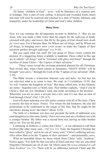All future "children of God"—sons—will be liberators of a creation now in bondage. This is part of your calling. A decayed and wounded Earth, moon and stars will soon be renewed and returned to a state of beauty, harmony and tranquility under the leadership of Christ and God's other children.

#### **Many Sons**

Now we can continue the all-important account in Hebrews 2: "But we see Jesus, who was made a little lower than the angels for the *suffering* of death, crowned with *glory* and *honor*; that He by the grace of God *should taste death for every man*. For it became Him, for Whom are *all things*, and by Whom are *all things*, in bringing *many sons unto glory*, to make the Captain of their salvation perfect *through sufferings*" (vs. 9-10).

Did you catch what was said? Do you grasp it? These verses contain the promise of a staggering future available to mankind. Those called in this age are to inherit "*all things*" and be "crowned with glory and honor" through the sacrifice of Jesus Christ—"the *Captain* of their salvation."

These verses reveal the awesome potential planned for all Christians. Paul reveals that, when Christ returns to Jerusalem, "MANY SONS" will be brought "*unto glory*," through the work of the "Captain of our salvation" (Heb.  $2:10$ ).

The Bible reveals a connection between sons and heirs. An heir has not yet *inherited* what is to come to him. We read, in I Corinthians 15:50, that we will "INHERIT the kingdom of God." But those called now, in this lifetime, are heirs—begotten (not *yet* born) sons. Paul further explains, "And if you be Christ's, then are you Abraham's seed, and heirs according to the promise… Wherefore you are no more a servant, but a son; and if a son, then an HEIR of God through Christ" (Gal. 3:29; 4:7).

God will share rulership over His entire creation with all of His Sons. Christ is merely the first of *many*. Notice: "For whom He did foreknow, He also did predestinate to be conformed to the image of His Son, that He might be the firstborn among many brethren" (Rom. 8:29).

The birth of a firstborn son does not preclude the birth of additional sons (and daughters) to that same family. I have two sons and am a firstborn son with a younger brother. My father was a second born son, having an elder brother and so on. You see the point.

Continuing in Hebrews 2, notice that Christ "…is not ashamed to call them *brethren* [the other many sons—us]" (vs. 11). Truly, the begotten Christian has been called to "glory" and to be one of "many sons." Christ's suffering and sacrifice allow Him to be the "Captain of *their* salvation"—and potentially *yours*.

What an incredible future for those whom Jesus Christ "calls…brethren." Notice again: "For both He that *sanctifies* [Christ] and they who are *sanctified* [begotten Christians] are all of one: for which cause He is *not ashamed to call them brethren*" (vs. 11). There will be no difference between Christ and His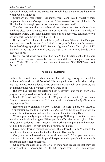younger brothers and sisters, except that He will have greater overall authority within God's Kingdom.

Christians are "sanctified" (set apart). *How?* John stated, "Sanctify them [begotten Christians] *through Your truth*: YOUR WORD IS TRUTH" (John 17:17). This booklet has taught you the truth about why you exist!

The cherished traditions and fables of men, about life after death, or about anything else, have no value. The truth of the Bible is the only knowledge of permanent worth. Christians, having come out of a deceived, confused world, are set apart from the world by the TRUTH.

If Christ is "not ashamed to call them (us) brethren," then we, God's begotten sons, must not be ashamed to defend the very truth that sanctifies us—and the truth of the gospel (Phil. 1:17). We must "grow up" unto Christ (Eph. 4:13) and hold to the true doctrines of God. We must qualify to stand beside Christ over "all things."

Do you see what has been described here? The Christian goal is to be born into the KINGDOM OF GOD—to become an immortal spirit being who will rule under Christ. What could be more wonderful—more GLORIOUS—to look forward to?

#### **The Role of Suffering**

Earlier, this booklet spoke about the terrible suffering, misery and insoluble problems of a world cut off from God. His mercy will soon cut this short, bringing it to an end. Man's allotted 6,000 years under Satan will soon be over, and *all* human beings will be taught why they were born.

But why has such terrible suffering been necessary—and for so long? What purpose has it played in God's Master Plan?

Much! We read that Christ, as the "Captain of our salvation," was made "PERFECT THROUGH SUFFERINGS." It is critical to understand *why* Christ was required to suffer.

Hebrews 5:8-9 explains clearly: "Though He were a Son, yet LEARNED HE OBEDIENCE by the things which *He suffered*; And being made perfect, He became the author of eternal salvation unto all them that obey Him."

What a profoundly important verse to grasp. Suffering kicks the spiritual learning mechanism into gear. When people suffer, they LEARN (Ecc. 7:14)! They gain experience—learn lessons. This is critically important to the character-building process—to fulfilling their purpose for being!

Even Christ learned through suffering. This allowed Him to "Captain" the salvation of the *many* sons that God will add to His Family.

Can you now understand *why* the world must suffer? Can you now understand that it is through difficult, painful experience that people will eventually understand life's deepest lessons?

Of course, the deepest lesson of all is men must recognize that they can achieve nothing—accomplish NOTHING—apart from God. They desper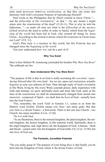ately need REVEALED SPIRITUAL KNOWLEDGE, so that they can come into harmony with God's awesome Purpose of reproducing Himself!

Paul wrote to the Philippians that he (Paul) wanted to know Christ "… and the *fellowship of His SUFFERINGS*," so that "...by any means I might attain unto the resurrection of the dead"  $(3:10-11)$ . This is why he told the Ephesians, "…to make all men see what is the *fellowship of the mystery*  [which involves the need to suffer in order to learn], which from the *beginning of the world* has been hid in God, who created all things by Jesus Christ...According to the eternal PURPOSE which He PURPOSED in Christ Jesus our Lord" (3:9, 11).

God's Plan truly *is* a mystery to this world, but His Purpose has not changed since the *beginning of the world*.

You now understand how you can be a part of it!

#### **Why You Exist!**

Here is how Herbert W. Armstrong concluded his booklet *Why Were You Born?* The subheads are his:

#### **Now Understand Why You Were Born!**

"The purpose of life is that in us God is really recreating *His own kind—reproducing Himself* after *His* own kind—for we are, upon real conversion, actually *begotten* as sons (yet unborn) of God. Then through study of God's revelation in His Word, living by His every Word, constant prayer, daily experience with trials and testings, we grow spiritually more and more like God, until, at the time of the resurrection we shall be instantaneously changed from mortal into *immortal*—composed of Spirit—we shall then be *born* of God—actually born into the God Family!

"For, remember, the word 'God' in Genesis 1:1, comes to us from the Hebrew word *Elohim. Elohim* means ONE GOD—not many gods. But that one God *is a* divine Family—a Kingdom. There is but one true Church—*one* Church, but many members (I Cor. 12:20).

"So it is with God.

"As an illustration, there is the mineral kingdom, the plant kingdom, the animal kingdom, the *human* kingdom, in this material world. Spiritually, there is the angel kingdom, and, high above all, the Kingdom of God. A human—flesh and blood—cannot enter into the Kingdom of God (John 3:6; I Cor. 15:50), but one *born* of God can.

#### **The Fantastic, Incredible Potential**

"Do you really grasp it? The purpose of your being alive is that finally you be born into the Kingdom of God, which is the divine Family of God.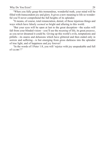"When you fully grasp this tremendous, wonderful truth, your mind will be filled with transcendent joy and glory. It gives a new meaning to life so wonderful you'll never comprehend the full heights of its splendor.

"It means, of course, total renunciation, denial, of those injurious things and ways which have falsely *seemed* so bright and alluring to this world.

"But your eyes will be open at last to the great deception—the scales will fall from your blinded vision—you'll see the *meaning* of life, its great *purpose*, as you never dreamed it could be. Giving up this world's evils, temptations and pitfalls—its snares and delusions which have glittered and then ended only in sorrow and suffering—is but emerging from gross darkness into the splendor of true light, and of happiness and joy forever!

"In the words of I Peter 1:8, you will 'rejoice with joy unspeakable and full of glory'!"